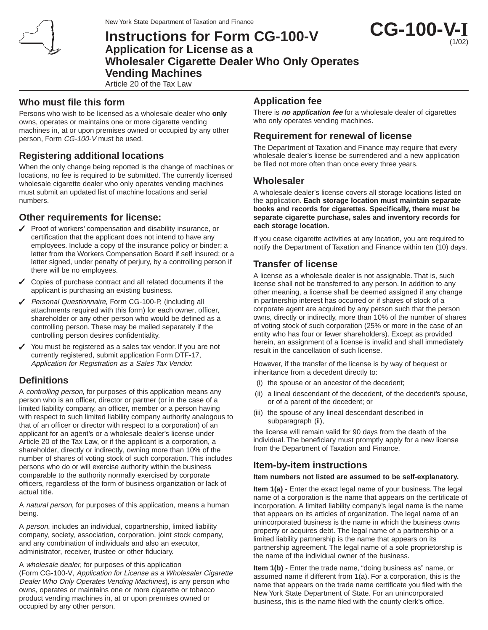

New York State Department of Taxation and Finance

# **Instructions for Form CG-100-V Application for License as a Wholesaler Cigarette Dealer Who Only Operates Vending Machines**

Article 20 of the Tax Law

### **Who must file this form**

Persons who wish to be licensed as a wholesale dealer who **only** owns, operates or maintains one or more cigarette vending machines in, at or upon premises owned or occupied by any other person, Form CG-100-V must be used.

## **Registering additional locations**

When the only change being reported is the change of machines or locations, no fee is required to be submitted. The currently licensed wholesale cigarette dealer who only operates vending machines must submit an updated list of machine locations and serial numbers.

## **Other requirements for license:**

- $\checkmark$  Proof of workers' compensation and disability insurance, or certification that the applicant does not intend to have any employees. Include a copy of the insurance policy or binder; a letter from the Workers Compensation Board if self insured; or a letter signed, under penalty of perjury, by a controlling person if there will be no employees.
- $\checkmark$  Copies of purchase contract and all related documents if the applicant is purchasing an existing business.
- ◆ Personal Questionnaire, Form CG-100-P, (including all attachments required with this form) for each owner, officer, shareholder or any other person who would be defined as a controlling person. These may be mailed separately if the controlling person desires confidentiality.
- $\checkmark$  You must be registered as a sales tax vendor. If you are not currently registered, submit application Form DTF-17, Application for Registration as a Sales Tax Vendor.

# **Definitions**

A controlling person, for purposes of this application means any person who is an officer, director or partner (or in the case of a limited liability company, an officer, member or a person having with respect to such limited liability company authority analogous to that of an officer or director with respect to a corporation) of an applicant for an agent's or a wholesale dealer's license under Article 20 of the Tax Law, or if the applicant is a corporation, a shareholder, directly or indirectly, owning more than 10% of the number of shares of voting stock of such corporation. This includes persons who do or will exercise authority within the business comparable to the authority normally exercised by corporate officers, regardless of the form of business organization or lack of actual title.

A natural person, for purposes of this application, means a human being.

A person, includes an individual, copartnership, limited liability company, society, association, corporation, joint stock company, and any combination of individuals and also an executor, administrator, receiver, trustee or other fiduciary.

A wholesale dealer, for purposes of this application (Form CG-100-V, Application for License as a Wholesaler Cigarette Dealer Who Only Operates Vending Machines), is any person who owns, operates or maintains one or more cigarette or tobacco product vending machines in, at or upon premises owned or occupied by any other person.

# **Application fee**

There is **no application fee** for a wholesale dealer of cigarettes who only operates vending machines.

**CG-100-V-I**

(1/02)

### **Requirement for renewal of license**

The Department of Taxation and Finance may require that every wholesale dealer's license be surrendered and a new application be filed not more often than once every three years.

### **Wholesaler**

A wholesale dealer's license covers all storage locations listed on the application. **Each storage location must maintain separate books and records for cigarettes. Specifically, there must be separate cigarette purchase, sales and inventory records for each storage location.**

If you cease cigarette activities at any location, you are required to notify the Department of Taxation and Finance within ten (10) days.

### **Transfer of license**

A license as a wholesale dealer is not assignable. That is, such license shall not be transferred to any person. In addition to any other meaning, a license shall be deemed assigned if any change in partnership interest has occurred or if shares of stock of a corporate agent are acquired by any person such that the person owns, directly or indirectly, more than 10% of the number of shares of voting stock of such corporation (25% or more in the case of an entity who has four or fewer shareholders). Except as provided herein, an assignment of a license is invalid and shall immediately result in the cancellation of such license.

However, if the transfer of the license is by way of bequest or inheritance from a decedent directly to:

- (i) the spouse or an ancestor of the decedent;
- (ii) a lineal descendant of the decedent, of the decedent's spouse, or of a parent of the decedent; or
- (iii) the spouse of any lineal descendant described in subparagraph (ii),

the license will remain valid for 90 days from the death of the individual. The beneficiary must promptly apply for a new license from the Department of Taxation and Finance.

### **Item-by-item instructions**

#### **Item numbers not listed are assumed to be self-explanatory.**

**Item 1(a) -** Enter the exact legal name of your business. The legal name of a corporation is the name that appears on the certificate of incorporation. A limited liability company's legal name is the name that appears on its articles of organization. The legal name of an unincorporated business is the name in which the business owns property or acquires debt. The legal name of a partnership or a limited liability partnership is the name that appears on its partnership agreement. The legal name of a sole proprietorship is the name of the individual owner of the business.

**Item 1(b) -** Enter the trade name, "doing business as" name, or assumed name if different from 1(a). For a corporation, this is the name that appears on the trade name certificate you filed with the New York State Department of State. For an unincorporated business, this is the name filed with the county clerk's office.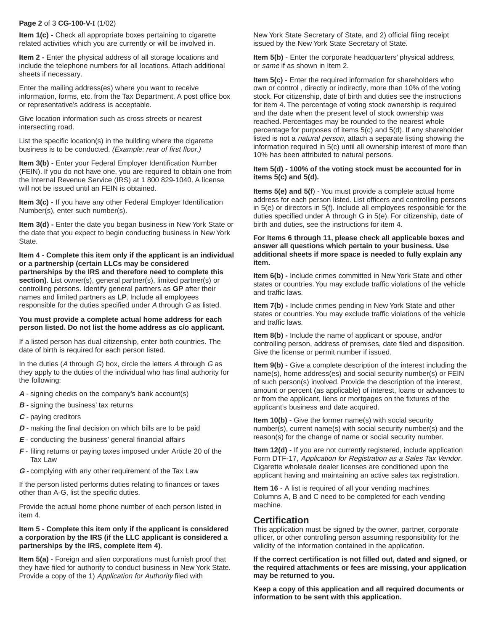#### **Page 2** of 3 **CG-100-V-I** (1/02)

**Item 1(c) -** Check all appropriate boxes pertaining to cigarette related activities which you are currently or will be involved in.

**Item 2 -** Enter the physical address of all storage locations and include the telephone numbers for all locations. Attach additional sheets if necessary.

Enter the mailing address(es) where you want to receive information, forms, etc. from the Tax Department. A post office box or representative's address is acceptable.

Give location information such as cross streets or nearest intersecting road.

List the specific location(s) in the building where the cigarette business is to be conducted. (Example: rear of first floor.)

**Item 3(b) - Enter your Federal Employer Identification Number** (FEIN). If you do not have one, you are required to obtain one from the Internal Revenue Service (IRS) at 1 800 829-1040. A license will not be issued until an FEIN is obtained.

**Item 3(c) -** If you have any other Federal Employer Identification Number(s), enter such number(s).

**Item 3(d) - Enter the date you began business in New York State or** the date that you expect to begin conducting business in New York State.

**Item 4** - **Complete this item only if the applicant is an individual or a partnership (certain LLCs may be considered partnerships by the IRS and therefore need to complete this** section). List owner(s), general partner(s), limited partner(s) or controlling persons. Identify general partners as **GP** after their names and limited partners as **LP**. Include all employees responsible for the duties specified under A through G as listed.

#### **You must provide a complete actual home address for each person listed. Do not list the home address as c/o applicant.**

If a listed person has dual citizenship, enter both countries. The date of birth is required for each person listed.

In the duties ( $A$  through  $G$ ) box, circle the letters  $A$  through  $G$  as they apply to the duties of the individual who has final authority for the following:

- **A** signing checks on the company's bank account(s)
- **B** signing the business' tax returns
- **C** paying creditors
- **D** making the final decision on which bills are to be paid
- **E** conducting the business' general financial affairs
- **F** filing returns or paying taxes imposed under Article 20 of the Tax Law
- **G** complying with any other requirement of the Tax Law

If the person listed performs duties relating to finances or taxes other than A-G, list the specific duties.

Provide the actual home phone number of each person listed in item 4.

#### **Item 5** - **Complete this item only if the applicant is considered a corporation by the IRS (if the LLC applicant is considered a partnerships by the IRS, complete item 4)**.

**Item 5(a)** - Foreign and alien corporations must furnish proof that they have filed for authority to conduct business in New York State. Provide a copy of the 1) Application for Authority filed with

New York State Secretary of State, and 2) official filing receipt issued by the New York State Secretary of State.

**Item 5(b)** - Enter the corporate headquarters' physical address, or same if as shown in Item 2.

**Item 5(c)** - Enter the required information for shareholders who own or control , directly or indirectly, more than 10% of the voting stock. For citizenship, date of birth and duties see the instructions for item 4. The percentage of voting stock ownership is required and the date when the present level of stock ownership was reached. Percentages may be rounded to the nearest whole percentage for purposes of items 5(c) and 5(d). If any shareholder listed is not a *natural person*, attach a separate listing showing the information required in 5(c) until all ownership interest of more than 10% has been attributed to natural persons.

#### **Item 5(d) - 100% of the voting stock must be accounted for in items 5(c) and 5(d).**

**Items 5(e) and 5(f**) - You must provide a complete actual home address for each person listed. List officers and controlling persons in 5(e) or directors in 5(f). Include all employees responsible for the duties specified under A through G in 5(e). For citizenship, date of birth and duties, see the instructions for item 4.

#### **For Items 6 through 11, please check all applicable boxes and answer all questions which pertain to your business. Use additional sheets if more space is needed to fully explain any item.**

**Item 6(b) -** Include crimes committed in New York State and other states or countries. You may exclude traffic violations of the vehicle and traffic laws.

**Item 7(b) -** Include crimes pending in New York State and other states or countries. You may exclude traffic violations of the vehicle and traffic laws.

**Item 8(b) -** Include the name of applicant or spouse, and/or controlling person, address of premises, date filed and disposition. Give the license or permit number if issued.

**Item 9(b)** - Give a complete description of the interest including the name(s), home address(es) and social security number(s) or FEIN of such person(s) involved. Provide the description of the interest, amount or percent (as applicable) of interest, loans or advances to or from the applicant, liens or mortgages on the fixtures of the applicant's business and date acquired.

**Item 10(b)** - Give the former name(s) with social security number(s), current name(s) with social security number(s) and the reason(s) for the change of name or social security number.

**Item 12(d)** - If you are not currently registered, include application Form DTF-17, Application for Registration as a Sales Tax Vendor. Cigarette wholesale dealer licenses are conditioned upon the applicant having and maintaining an active sales tax registration.

**Item 16** - A list is required of all your vending machines. Columns A, B and C need to be completed for each vending machine.

### **Certification**

This application must be signed by the owner, partner, corporate officer, or other controlling person assuming responsibility for the validity of the information contained in the application.

**If the correct certification is not filled out, dated and signed, or the required attachments or fees are missing, your application may be returned to you.**

**Keep a copy of this application and all required documents or information to be sent with this application.**